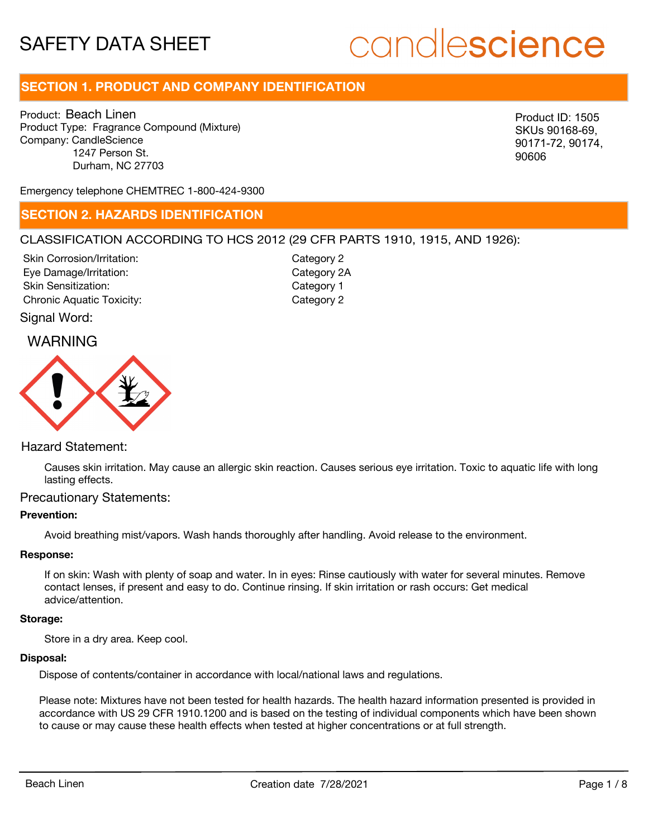# candlescience

# **SECTION 1. PRODUCT AND COMPANY IDENTIFICATION**

Product: Beach Linen Product Type: Fragrance Compound (Mixture) Company: CandleScience 1247 Person St. Durham, NC 27703

SKUs 90168-69, 90171-72, 90174, 90606

Emergency telephone CHEMTREC 1-800-424-9300

### **SECTION 2. HAZARDS IDENTIFICATION**

### CLASSIFICATION ACCORDING TO HCS 2012 (29 CFR PARTS 1910, 1915, AND 1926):

Skin Corrosion/Irritation: Eye Damage/Irritation: Skin Sensitization: Chronic Aquatic Toxicity: Chronic Aquatic Toxicity:

Category 2 Category 2A Category 1

Signal Word:

### WARNING



### Hazard Statement:

Causes skin irritation. May cause an allergic skin reaction. Causes serious eye irritation. Toxic to aquatic life with long lasting effects.

### Precautionary Statements:

### **Prevention:**

Avoid breathing mist/vapors. Wash hands thoroughly after handling. Avoid release to the environment.

### **Response:**

If on skin: Wash with plenty of soap and water. In in eyes: Rinse cautiously with water for several minutes. Remove contact lenses, if present and easy to do. Continue rinsing. If skin irritation or rash occurs: Get medical advice/attention.

### **Storage:**

Store in a dry area. Keep cool.

#### **Disposal:**

Dispose of contents/container in accordance with local/national laws and regulations.

Please note: Mixtures have not been tested for health hazards. The health hazard information presented is provided in accordance with US 29 CFR 1910.1200 and is based on the testing of individual components which have been shown to cause or may cause these health effects when tested at higher concentrations or at full strength. Wood Testam Linen Company (Routin)<br>
Tool and Mark Linen Company (Routh)<br>
Contains (1971 Page 18), 00174, 00174, 00174, 00174, 00174, 00174, 00174, 00174, 00174, 00174, 00174, 00174, 00174, 00174, 00174, 00174, 00174, 00174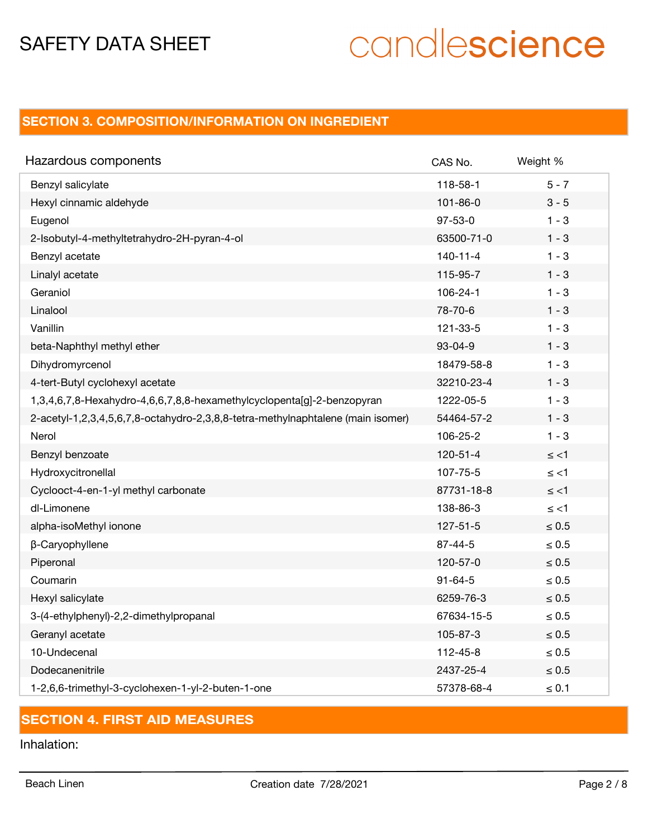# candlescience

# **SECTION 3. COMPOSITION/INFORMATION ON INGREDIENT**

| Hazardous components                                                            | CAS No.        | Weight %   |
|---------------------------------------------------------------------------------|----------------|------------|
| Benzyl salicylate                                                               | 118-58-1       | $5 - 7$    |
| Hexyl cinnamic aldehyde                                                         | 101-86-0       | $3 - 5$    |
| Eugenol                                                                         | $97 - 53 - 0$  | $1 - 3$    |
| 2-Isobutyl-4-methyltetrahydro-2H-pyran-4-ol                                     | 63500-71-0     | $1 - 3$    |
| Benzyl acetate                                                                  | $140 - 11 - 4$ | $1 - 3$    |
| Linalyl acetate                                                                 | 115-95-7       | $1 - 3$    |
| Geraniol                                                                        | 106-24-1       | $1 - 3$    |
| Linalool                                                                        | 78-70-6        | $1 - 3$    |
| Vanillin                                                                        | 121-33-5       | $1 - 3$    |
| beta-Naphthyl methyl ether                                                      | $93 - 04 - 9$  | $1 - 3$    |
| Dihydromyrcenol                                                                 | 18479-58-8     | $1 - 3$    |
| 4-tert-Butyl cyclohexyl acetate                                                 | 32210-23-4     | $1 - 3$    |
| 1,3,4,6,7,8-Hexahydro-4,6,6,7,8,8-hexamethylcyclopenta[g]-2-benzopyran          | 1222-05-5      | $1 - 3$    |
| 2-acetyl-1,2,3,4,5,6,7,8-octahydro-2,3,8,8-tetra-methylnaphtalene (main isomer) | 54464-57-2     | $1 - 3$    |
| Nerol                                                                           | 106-25-2       | $1 - 3$    |
| Benzyl benzoate                                                                 | 120-51-4       | $\le$ <1   |
| Hydroxycitronellal                                                              | 107-75-5       | $\le$ <1   |
| Cyclooct-4-en-1-yl methyl carbonate                                             | 87731-18-8     | $\le$ <1   |
| dl-Limonene                                                                     | 138-86-3       | ≤ <1       |
| alpha-isoMethyl ionone                                                          | $127 - 51 - 5$ | $\leq 0.5$ |
| β-Caryophyllene                                                                 | 87-44-5        | $\leq 0.5$ |
| Piperonal                                                                       | 120-57-0       | $\leq 0.5$ |
| Coumarin                                                                        | $91 - 64 - 5$  | $\leq 0.5$ |
| Hexyl salicylate                                                                | 6259-76-3      | $\leq 0.5$ |
| 3-(4-ethylphenyl)-2,2-dimethylpropanal                                          | 67634-15-5     | $\leq 0.5$ |
| Geranyl acetate                                                                 | 105-87-3       | $\leq 0.5$ |
| 10-Undecenal                                                                    | 112-45-8       | $\leq 0.5$ |
| Dodecanenitrile                                                                 | 2437-25-4      | $\leq 0.5$ |
| 1-2,6,6-trimethyl-3-cyclohexen-1-yl-2-buten-1-one                               | 57378-68-4     | $\leq 0.1$ |

# **SECTION 4. FIRST AID MEASURES**

Inhalation: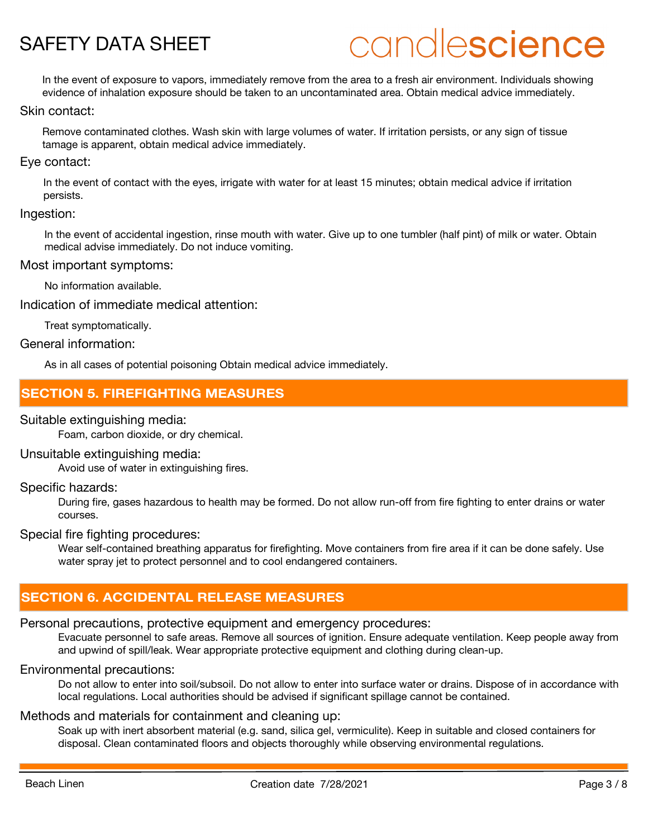# candlescience

In the event of exposure to vapors, immediately remove from the area to a fresh air environment. Individuals showing evidence of inhalation exposure should be taken to an uncontaminated area. Obtain medical advice immediately.

### Skin contact:

Remove contaminated clothes. Wash skin with large volumes of water. If irritation persists, or any sign of tissue tamage is apparent, obtain medical advice immediately.

### Eye contact:

In the event of contact with the eyes, irrigate with water for at least 15 minutes; obtain medical advice if irritation persists.

### Ingestion:

In the event of accidental ingestion, rinse mouth with water. Give up to one tumbler (half pint) of milk or water. Obtain medical advise immediately. Do not induce vomiting.

### Most important symptoms:

No information available.

Indication of immediate medical attention:

Treat symptomatically.

General information:

As in all cases of potential poisoning Obtain medical advice immediately.

# **SECTION 5. FIREFIGHTING MEASURES**

### Suitable extinguishing media:

Foam, carbon dioxide, or dry chemical.

### Unsuitable extinguishing media:

Avoid use of water in extinguishing fires.

### Specific hazards:

During fire, gases hazardous to health may be formed. Do not allow run-off from fire fighting to enter drains or water courses.

### Special fire fighting procedures:

Wear self-contained breathing apparatus for firefighting. Move containers from fire area if it can be done safely. Use water spray jet to protect personnel and to cool endangered containers.

## **SECTION 6. ACCIDENTAL RELEASE MEASURES**

## Personal precautions, protective equipment and emergency procedures:

Evacuate personnel to safe areas. Remove all sources of ignition. Ensure adequate ventilation. Keep people away from and upwind of spill/leak. Wear appropriate protective equipment and clothing during clean-up.

## Environmental precautions:

Do not allow to enter into soil/subsoil. Do not allow to enter into surface water or drains. Dispose of in accordance with local regulations. Local authorities should be advised if significant spillage cannot be contained.

### Methods and materials for containment and cleaning up:

Soak up with inert absorbent material (e.g. sand, silica gel, vermiculite). Keep in suitable and closed containers for disposal. Clean contaminated floors and objects thoroughly while observing environmental regulations.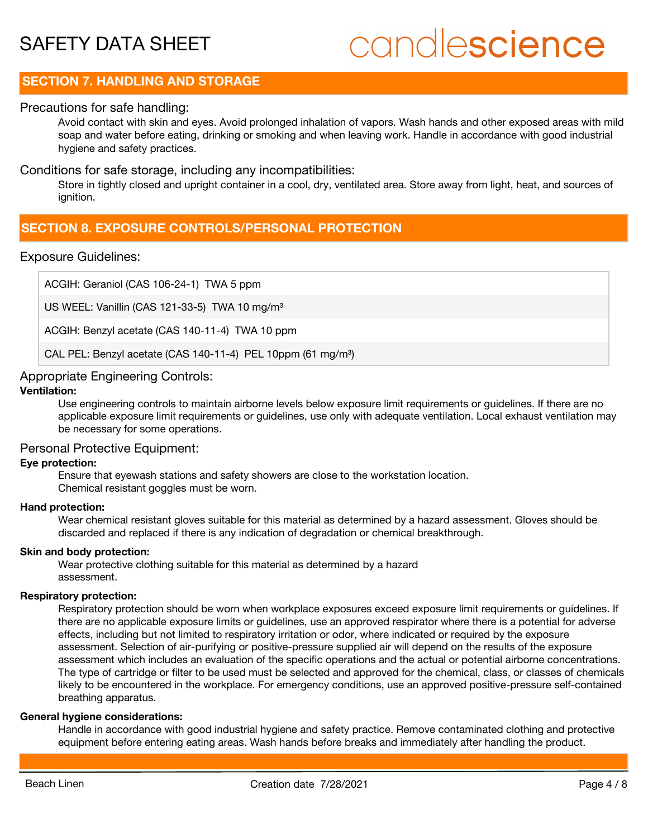# candlescience

## **SECTION 7. HANDLING AND STORAGE**

### Precautions for safe handling:

Avoid contact with skin and eyes. Avoid prolonged inhalation of vapors. Wash hands and other exposed areas with mild soap and water before eating, drinking or smoking and when leaving work. Handle in accordance with good industrial hygiene and safety practices.

### Conditions for safe storage, including any incompatibilities:

Store in tightly closed and upright container in a cool, dry, ventilated area. Store away from light, heat, and sources of ignition.

## **SECTION 8. EXPOSURE CONTROLS/PERSONAL PROTECTION**

### Exposure Guidelines:

ACGIH: Geraniol (CAS 106-24-1) TWA 5 ppm

US WEEL: Vanillin (CAS 121-33-5) TWA 10 mg/m<sup>3</sup>

ACGIH: Benzyl acetate (CAS 140-11-4) TWA 10 ppm

CAL PEL: Benzyl acetate (CAS 140-11-4) PEL 10ppm (61 mg/m<sup>3</sup>)

### Appropriate Engineering Controls:

### **Ventilation:**

Use engineering controls to maintain airborne levels below exposure limit requirements or guidelines. If there are no applicable exposure limit requirements or guidelines, use only with adequate ventilation. Local exhaust ventilation may be necessary for some operations.

### Personal Protective Equipment:

### **Eye protection:**

Ensure that eyewash stations and safety showers are close to the workstation location. Chemical resistant goggles must be worn.

### **Hand protection:**

Wear chemical resistant gloves suitable for this material as determined by a hazard assessment. Gloves should be discarded and replaced if there is any indication of degradation or chemical breakthrough.

### **Skin and body protection:**

Wear protective clothing suitable for this material as determined by a hazard assessment.

### **Respiratory protection:**

Respiratory protection should be worn when workplace exposures exceed exposure limit requirements or guidelines. If there are no applicable exposure limits or guidelines, use an approved respirator where there is a potential for adverse effects, including but not limited to respiratory irritation or odor, where indicated or required by the exposure assessment. Selection of air-purifying or positive-pressure supplied air will depend on the results of the exposure assessment which includes an evaluation of the specific operations and the actual or potential airborne concentrations. The type of cartridge or filter to be used must be selected and approved for the chemical, class, or classes of chemicals likely to be encountered in the workplace. For emergency conditions, use an approved positive-pressure self-contained breathing apparatus.

### **General hygiene considerations:**

Handle in accordance with good industrial hygiene and safety practice. Remove contaminated clothing and protective equipment before entering eating areas. Wash hands before breaks and immediately after handling the product.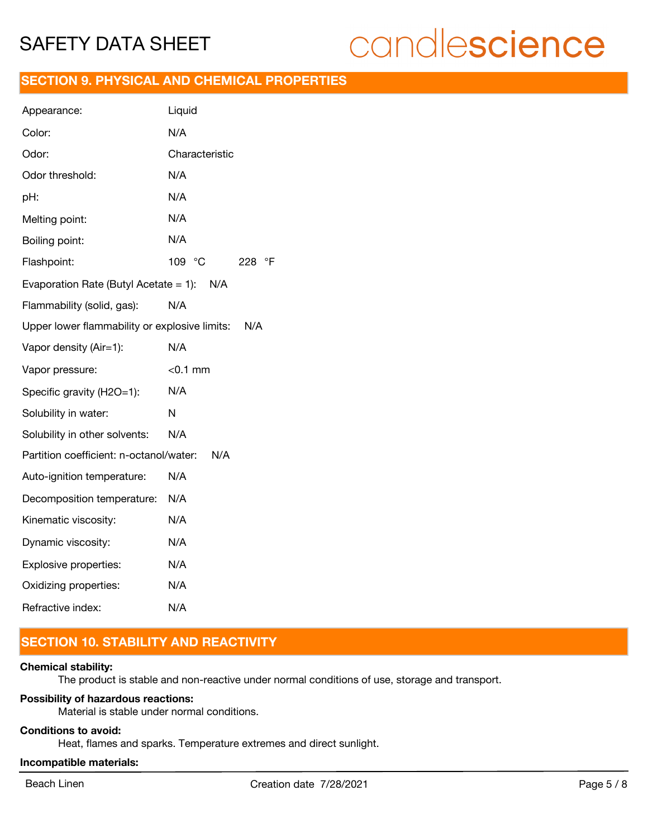# candlescience

### **SECTION 9. PHYSICAL AND CHEMICAL PROPERTIES**

| Appearance:                                          | Liquid           |  |
|------------------------------------------------------|------------------|--|
| Color:                                               | N/A              |  |
| Odor:                                                | Characteristic   |  |
| Odor threshold:                                      | N/A              |  |
| pH:                                                  | N/A              |  |
| Melting point:                                       | N/A              |  |
| Boiling point:                                       | N/A              |  |
| Flashpoint:                                          | 109 °C<br>228 °F |  |
| Evaporation Rate (Butyl Acetate = 1): $N/A$          |                  |  |
| Flammability (solid, gas):                           | N/A              |  |
| Upper lower flammability or explosive limits:<br>N/A |                  |  |
| Vapor density (Air=1):                               | N/A              |  |
| Vapor pressure:                                      | $<$ 0.1 mm       |  |
| Specific gravity (H2O=1):                            | N/A              |  |
| Solubility in water:                                 | N                |  |
| Solubility in other solvents:                        |                  |  |
| Partition coefficient: n-octanol/water:<br>N/A       |                  |  |
|                                                      | N/A              |  |
| Auto-ignition temperature:                           | N/A              |  |
| Decomposition temperature:                           | N/A              |  |
| Kinematic viscosity:                                 | N/A              |  |
| Dynamic viscosity:                                   | N/A              |  |
| Explosive properties:                                | N/A              |  |
| Oxidizing properties:                                | N/A              |  |

# **SECTION 10. STABILITY AND REACTIVITY**

### **Chemical stability:**

The product is stable and non-reactive under normal conditions of use, storage and transport.

### **Possibility of hazardous reactions:**

Material is stable under normal conditions.

### **Conditions to avoid:**

Heat, flames and sparks. Temperature extremes and direct sunlight.

## **Incompatible materials:**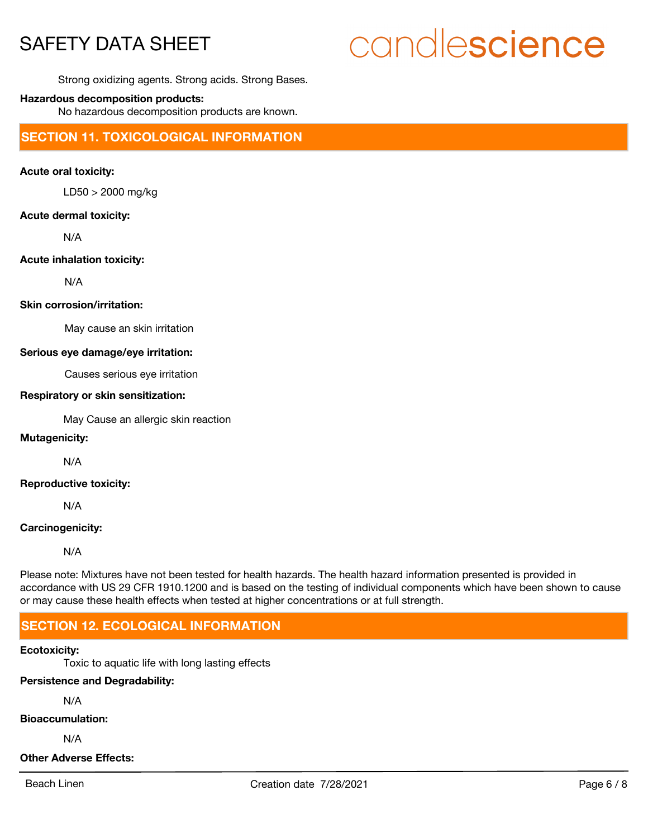# candlescience

Strong oxidizing agents. Strong acids. Strong Bases.

### **Hazardous decomposition products:**

No hazardous decomposition products are known.

**SECTION 11. TOXICOLOGICAL INFORMATION**

### **Acute oral toxicity:**

LD50 > 2000 mg/kg

### **Acute dermal toxicity:**

N/A

### **Acute inhalation toxicity:**

N/A

### **Skin corrosion/irritation:**

May cause an skin irritation

### **Serious eye damage/eye irritation:**

Causes serious eye irritation

### **Respiratory or skin sensitization:**

May Cause an allergic skin reaction

### **Mutagenicity:**

N/A

### **Reproductive toxicity:**

N/A

### **Carcinogenicity:**

N/A

Please note: Mixtures have not been tested for health hazards. The health hazard information presented is provided in accordance with US 29 CFR 1910.1200 and is based on the testing of individual components which have been shown to cause or may cause these health effects when tested at higher concentrations or at full strength.

## **SECTION 12. ECOLOGICAL INFORMATION**

### **Ecotoxicity:**

Toxic to aquatic life with long lasting effects

### **Persistence and Degradability:**

N/A

#### **Bioaccumulation:**

N/A

### **Other Adverse Effects:**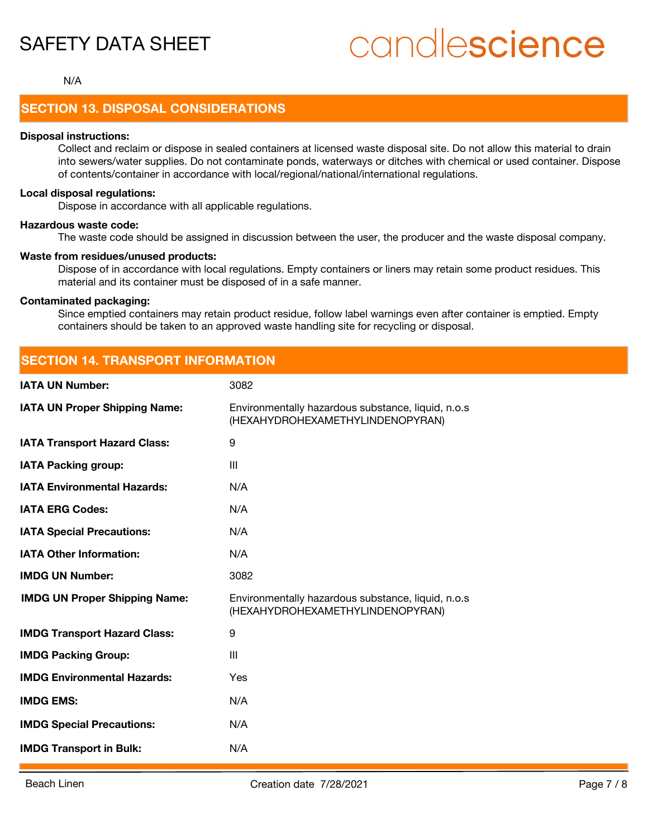# candlescience

### N/A

## **SECTION 13. DISPOSAL CONSIDERATIONS**

#### **Disposal instructions:**

Collect and reclaim or dispose in sealed containers at licensed waste disposal site. Do not allow this material to drain into sewers/water supplies. Do not contaminate ponds, waterways or ditches with chemical or used container. Dispose of contents/container in accordance with local/regional/national/international regulations.

### **Local disposal regulations:**

Dispose in accordance with all applicable regulations.

**SECTION 14. TRANSPORT INFORMATION**

### **Hazardous waste code:**

The waste code should be assigned in discussion between the user, the producer and the waste disposal company.

#### **Waste from residues/unused products:**

Dispose of in accordance with local regulations. Empty containers or liners may retain some product residues. This material and its container must be disposed of in a safe manner.

### **Contaminated packaging:**

Since emptied containers may retain product residue, follow label warnings even after container is emptied. Empty containers should be taken to an approved waste handling site for recycling or disposal.

| SECTION 14. IRANSPORT INFORMATION    |                                                                                        |  |
|--------------------------------------|----------------------------------------------------------------------------------------|--|
| <b>IATA UN Number:</b>               | 3082                                                                                   |  |
| <b>IATA UN Proper Shipping Name:</b> | Environmentally hazardous substance, liquid, n.o.s<br>(HEXAHYDROHEXAMETHYLINDENOPYRAN) |  |
| <b>IATA Transport Hazard Class:</b>  | 9                                                                                      |  |
| <b>IATA Packing group:</b>           | Ш                                                                                      |  |
| <b>IATA Environmental Hazards:</b>   | N/A                                                                                    |  |
| <b>IATA ERG Codes:</b>               | N/A                                                                                    |  |
| <b>IATA Special Precautions:</b>     | N/A                                                                                    |  |
| <b>IATA Other Information:</b>       | N/A                                                                                    |  |
| <b>IMDG UN Number:</b>               | 3082                                                                                   |  |
| <b>IMDG UN Proper Shipping Name:</b> | Environmentally hazardous substance, liquid, n.o.s<br>(HEXAHYDROHEXAMETHYLINDENOPYRAN) |  |
| <b>IMDG Transport Hazard Class:</b>  | 9                                                                                      |  |
| <b>IMDG Packing Group:</b>           | III                                                                                    |  |
| <b>IMDG Environmental Hazards:</b>   | Yes                                                                                    |  |
| <b>IMDG EMS:</b>                     | N/A                                                                                    |  |
| <b>IMDG Special Precautions:</b>     | N/A                                                                                    |  |
| <b>IMDG Transport in Bulk:</b>       | N/A                                                                                    |  |